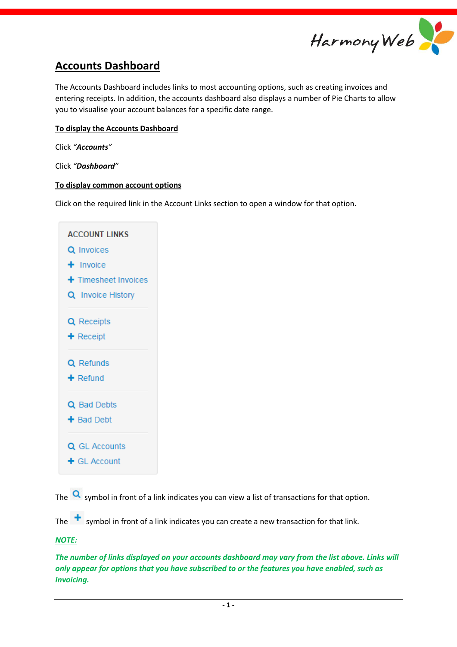

# **Accounts Dashboard**

The Accounts Dashboard includes links to most accounting options, such as creating invoices and entering receipts. In addition, the accounts dashboard also displays a number of Pie Charts to allow you to visualise your account balances for a specific date range.

## **To display the Accounts Dashboard**

Click *"Accounts"*

Click *"Dashboard"*

#### **To display common account options**

Click on the required link in the Account Links section to open a window for that option.



The  $\alpha$  symbol in front of a link indicates you can view a list of transactions for that option.

The  $\pm$  symbol in front of a link indicates you can create a new transaction for that link.

#### *NOTE:*

*The number of links displayed on your accounts dashboard may vary from the list above. Links will only appear for options that you have subscribed to or the features you have enabled, such as Invoicing.*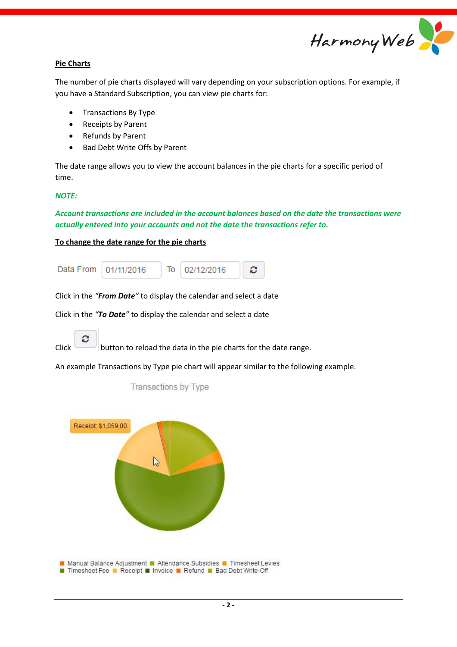

## **Pie Charts**

The number of pie charts displayed will vary depending on your subscription options. For example, if you have a Standard Subscription, you can view pie charts for:

- Transactions By Type
- Receipts by Parent
- Refunds by Parent
- Bad Debt Write Offs by Parent

The date range allows you to view the account balances in the pie charts for a specific period of time.

#### *NOTE:*

*Account transactions are included in the account balances based on the date the transactions were actually entered into your accounts and not the date the transactions refer to.*

## **To change the date range for the pie charts**



Click in the *"From Date"* to display the calendar and select a date

Click in the *"To Date"* to display the calendar and select a date



Click button to reload the data in the pie charts for the date range.

An example Transactions by Type pie chart will appear similar to the following example.



**Transactions by Type**